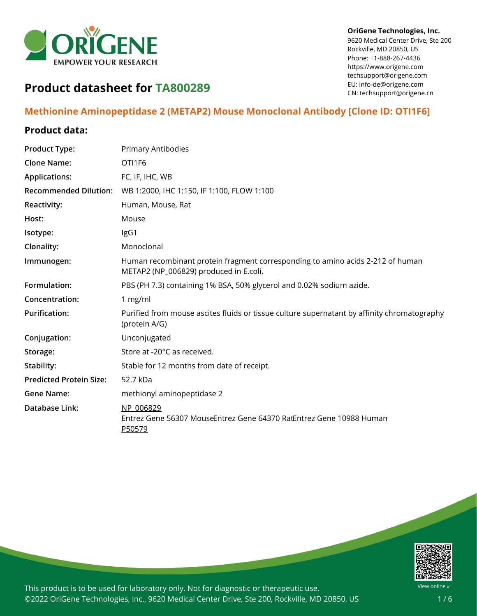

#### **OriGene Technologies, Inc.**

9620 Medical Center Drive, Ste 200 Rockville, MD 20850, US Phone: +1-888-267-4436 https://www.origene.com techsupport@origene.com EU: info-de@origene.com CN: techsupport@origene.cn

# **Product datasheet for TA800289**

## **Methionine Aminopeptidase 2 (METAP2) Mouse Monoclonal Antibody [Clone ID: OTI1F6]**

## **Product data:**

| <b>Product Type:</b>           | <b>Primary Antibodies</b>                                                                                                |
|--------------------------------|--------------------------------------------------------------------------------------------------------------------------|
| <b>Clone Name:</b>             | OTI1F6                                                                                                                   |
| <b>Applications:</b>           | FC, IF, IHC, WB                                                                                                          |
| <b>Recommended Dilution:</b>   | WB 1:2000, IHC 1:150, IF 1:100, FLOW 1:100                                                                               |
| Reactivity:                    | Human, Mouse, Rat                                                                                                        |
| Host:                          | Mouse                                                                                                                    |
| Isotype:                       | IgG1                                                                                                                     |
| Clonality:                     | Monoclonal                                                                                                               |
| Immunogen:                     | Human recombinant protein fragment corresponding to amino acids 2-212 of human<br>METAP2 (NP_006829) produced in E.coli. |
| Formulation:                   | PBS (PH 7.3) containing 1% BSA, 50% glycerol and 0.02% sodium azide.                                                     |
| Concentration:                 | 1 mg/ml                                                                                                                  |
| <b>Purification:</b>           | Purified from mouse ascites fluids or tissue culture supernatant by affinity chromatography<br>(protein A/G)             |
| Conjugation:                   | Unconjugated                                                                                                             |
| Storage:                       | Store at -20°C as received.                                                                                              |
| Stability:                     | Stable for 12 months from date of receipt.                                                                               |
| <b>Predicted Protein Size:</b> | 52.7 kDa                                                                                                                 |
| <b>Gene Name:</b>              | methionyl aminopeptidase 2                                                                                               |
| Database Link:                 | NP 006829<br>Entrez Gene 56307 MouseEntrez Gene 64370 RatEntrez Gene 10988 Human<br>P50579                               |

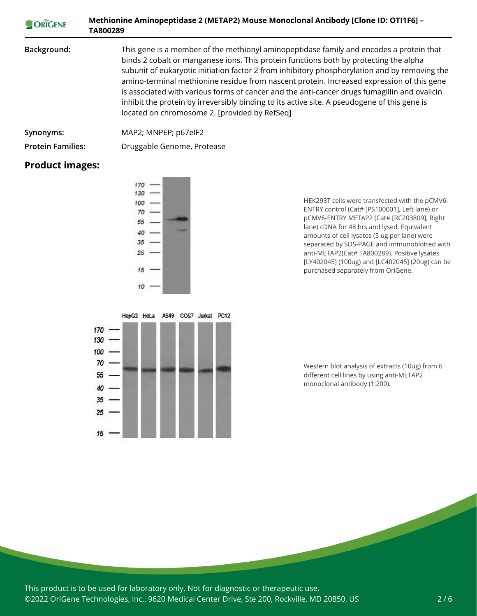| ORIGENE                  | Methionine Aminopeptidase 2 (METAP2) Mouse Monoclonal Antibody [Clone ID: OTI1F6] -<br>TA800289                                                                                                                                                                                                                                                                                                                                                                                                                                                                                                                                 |
|--------------------------|---------------------------------------------------------------------------------------------------------------------------------------------------------------------------------------------------------------------------------------------------------------------------------------------------------------------------------------------------------------------------------------------------------------------------------------------------------------------------------------------------------------------------------------------------------------------------------------------------------------------------------|
| Background:              | This gene is a member of the methionyl aminopeptidase family and encodes a protein that<br>binds 2 cobalt or manganese ions. This protein functions both by protecting the alpha<br>subunit of eukaryotic initiation factor 2 from inhibitory phosphorylation and by removing the<br>amino-terminal methionine residue from nascent protein. Increased expression of this gene<br>is associated with various forms of cancer and the anti-cancer drugs fumagillin and ovalicin<br>inhibit the protein by irreversibly binding to its active site. A pseudogene of this gene is<br>located on chromosome 2. [provided by RefSeq] |
| Synonyms:                | MAP2; MNPEP; p67elF2                                                                                                                                                                                                                                                                                                                                                                                                                                                                                                                                                                                                            |
| <b>Protein Families:</b> | Druggable Genome, Protease                                                                                                                                                                                                                                                                                                                                                                                                                                                                                                                                                                                                      |

## **Product images:**





HEK293T cells were transfected with the pCMV6-



Western blot analysis of extracts (10ug) from 6 different cell lines by using anti-METAP2 monoclonal antibody (1:200).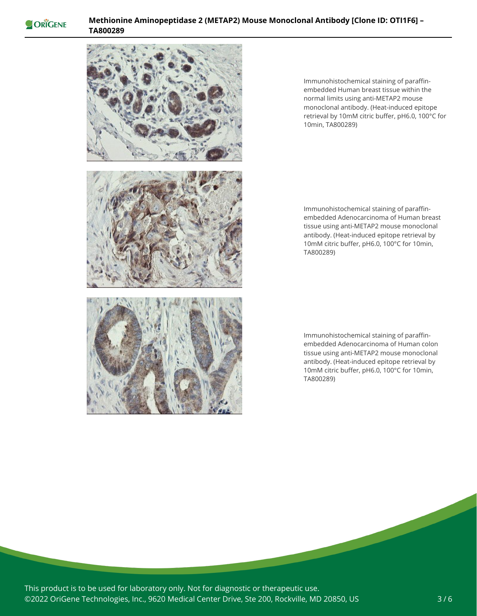

### **Methionine Aminopeptidase 2 (METAP2) Mouse Monoclonal Antibody [Clone ID: OTI1F6] – TA800289**



Immunohistochemical staining of paraffinembedded Human breast tissue within the normal limits using anti-METAP2 mouse monoclonal antibody. (Heat-induced epitope retrieval by 10mM citric buffer, pH6.0, 100°C for 10min, TA800289)

Immunohistochemical staining of paraffinembedded Adenocarcinoma of Human breast tissue using anti-METAP2 mouse monoclonal antibody. (Heat-induced epitope retrieval by 10mM citric buffer, pH6.0, 100°C for 10min, TA800289)

Immunohistochemical staining of paraffinembedded Adenocarcinoma of Human colon tissue using anti-METAP2 mouse monoclonal antibody. (Heat-induced epitope retrieval by 10mM citric buffer, pH6.0, 100°C for 10min, TA800289)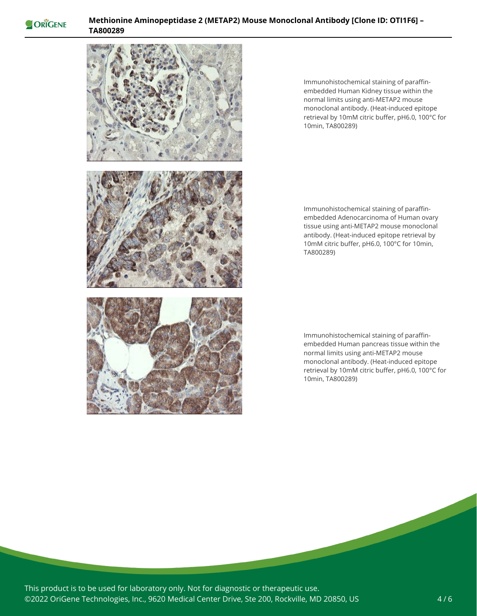

## **Methionine Aminopeptidase 2 (METAP2) Mouse Monoclonal Antibody [Clone ID: OTI1F6] – TA800289**



Immunohistochemical staining of paraffinembedded Human Kidney tissue within the normal limits using anti-METAP2 mouse monoclonal antibody. (Heat-induced epitope retrieval by 10mM citric buffer, pH6.0, 100°C for 10min, TA800289)

Immunohistochemical staining of paraffinembedded Adenocarcinoma of Human ovary tissue using anti-METAP2 mouse monoclonal antibody. (Heat-induced epitope retrieval by 10mM citric buffer, pH6.0, 100°C for 10min, TA800289)

Immunohistochemical staining of paraffinembedded Human pancreas tissue within the normal limits using anti-METAP2 mouse monoclonal antibody. (Heat-induced epitope retrieval by 10mM citric buffer, pH6.0, 100°C for 10min, TA800289)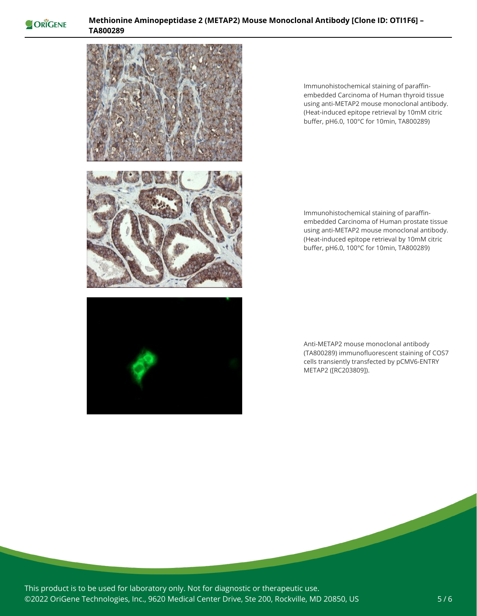

### **Methionine Aminopeptidase 2 (METAP2) Mouse Monoclonal Antibody [Clone ID: OTI1F6] – TA800289**



Immunohistochemical staining of paraffinembedded Carcinoma of Human thyroid tissue using anti-METAP2 mouse monoclonal antibody. (Heat-induced epitope retrieval by 10mM citric buffer, pH6.0, 100°C for 10min, TA800289)





Immunohistochemical staining of paraffinembedded Carcinoma of Human prostate tissue using anti-METAP2 mouse monoclonal antibody. (Heat-induced epitope retrieval by 10mM citric buffer, pH6.0, 100°C for 10min, TA800289)

Anti-METAP2 mouse monoclonal antibody (TA800289) immunofluorescent staining of COS7 cells transiently transfected by pCMV6-ENTRY METAP2 ([RC203809]).